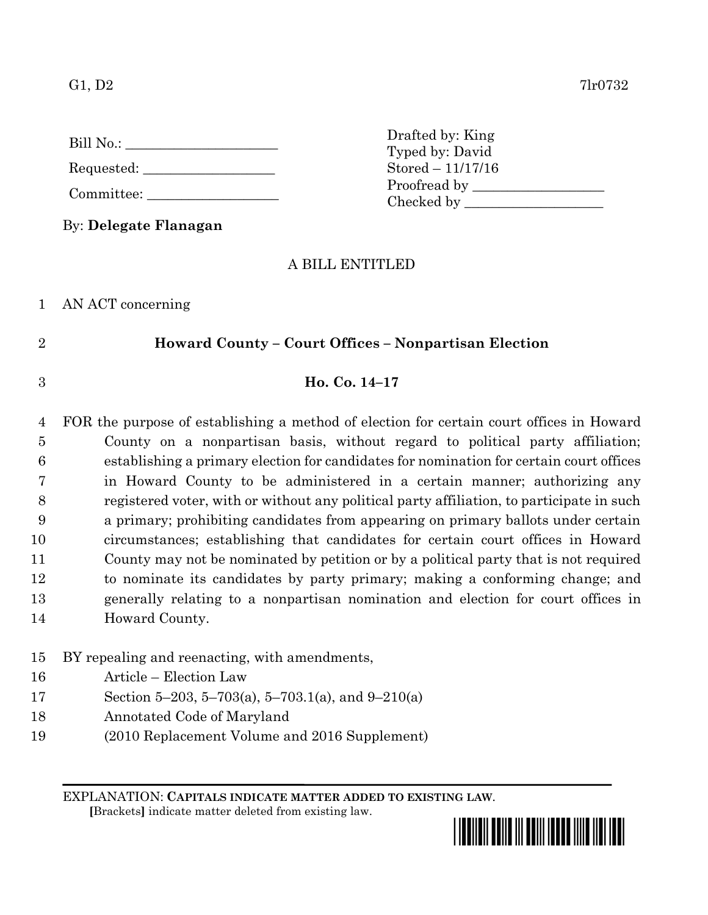G1, D2  $7\text{l}r0732$ 

| Bill No.: |  |
|-----------|--|
|           |  |

Requested:

Committee:

By: **Delegate Flanagan**

Drafted by: King Typed by: David Stored – 11/17/16 Proofread by Checked by \_\_\_\_\_\_\_\_\_\_\_\_\_\_\_\_\_\_\_\_

## A BILL ENTITLED

1 AN ACT concerning

# 2 **Howard County – Court Offices – Nonpartisan Election**

## 3 **Ho. Co. 14–17**

 FOR the purpose of establishing a method of election for certain court offices in Howard County on a nonpartisan basis, without regard to political party affiliation; establishing a primary election for candidates for nomination for certain court offices in Howard County to be administered in a certain manner; authorizing any registered voter, with or without any political party affiliation, to participate in such a primary; prohibiting candidates from appearing on primary ballots under certain circumstances; establishing that candidates for certain court offices in Howard County may not be nominated by petition or by a political party that is not required to nominate its candidates by party primary; making a conforming change; and generally relating to a nonpartisan nomination and election for court offices in Howard County.

## 15 BY repealing and reenacting, with amendments,

- 16 Article Election Law
- 17 Section 5–203, 5–703(a), 5–703.1(a), and 9–210(a)
- 18 Annotated Code of Maryland
- 19 (2010 Replacement Volume and 2016 Supplement)

EXPLANATION: **CAPITALS INDICATE MATTER ADDED TO EXISTING LAW**.

 **[**Brackets**]** indicate matter deleted from existing law.

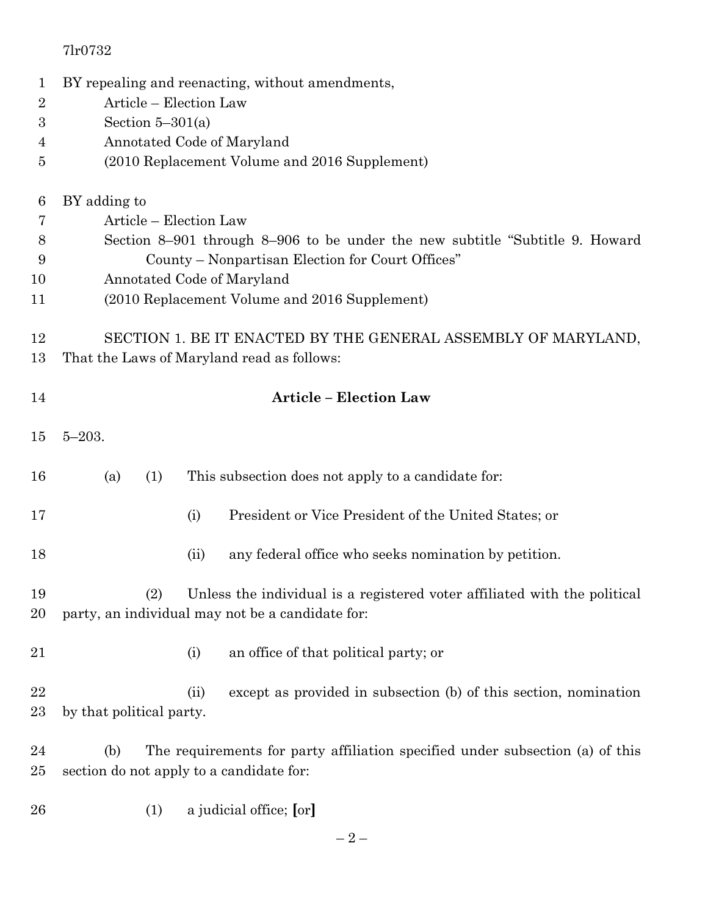| $\mathbf{1}$     | BY repealing and reenacting, without amendments, |                                                                               |  |  |  |  |  |  |
|------------------|--------------------------------------------------|-------------------------------------------------------------------------------|--|--|--|--|--|--|
| $\overline{2}$   | Article - Election Law                           |                                                                               |  |  |  |  |  |  |
| $\boldsymbol{3}$ | Section $5-301(a)$                               |                                                                               |  |  |  |  |  |  |
| 4                | Annotated Code of Maryland                       |                                                                               |  |  |  |  |  |  |
| $\overline{5}$   | (2010 Replacement Volume and 2016 Supplement)    |                                                                               |  |  |  |  |  |  |
|                  |                                                  |                                                                               |  |  |  |  |  |  |
| 6                | BY adding to                                     |                                                                               |  |  |  |  |  |  |
| 7                |                                                  | Article - Election Law                                                        |  |  |  |  |  |  |
| 8                |                                                  | Section 8–901 through 8–906 to be under the new subtitle "Subtitle 9. Howard" |  |  |  |  |  |  |
| 9                |                                                  | County – Nonpartisan Election for Court Offices"                              |  |  |  |  |  |  |
| 10               |                                                  | Annotated Code of Maryland                                                    |  |  |  |  |  |  |
| 11               |                                                  | (2010 Replacement Volume and 2016 Supplement)                                 |  |  |  |  |  |  |
|                  |                                                  | SECTION 1. BE IT ENACTED BY THE GENERAL ASSEMBLY OF MARYLAND,                 |  |  |  |  |  |  |
| 12<br>13         |                                                  | That the Laws of Maryland read as follows:                                    |  |  |  |  |  |  |
|                  |                                                  |                                                                               |  |  |  |  |  |  |
| 14               |                                                  | <b>Article - Election Law</b>                                                 |  |  |  |  |  |  |
|                  |                                                  |                                                                               |  |  |  |  |  |  |
| 15               | $5 - 203.$                                       |                                                                               |  |  |  |  |  |  |
|                  |                                                  |                                                                               |  |  |  |  |  |  |
| 16               | (a)<br>(1)                                       | This subsection does not apply to a candidate for:                            |  |  |  |  |  |  |
| 17               |                                                  | President or Vice President of the United States; or<br>(i)                   |  |  |  |  |  |  |
|                  |                                                  |                                                                               |  |  |  |  |  |  |
| 18               |                                                  | any federal office who seeks nomination by petition.<br>(ii)                  |  |  |  |  |  |  |
| 19               | (2)                                              | Unless the individual is a registered voter affiliated with the political     |  |  |  |  |  |  |
| 20               |                                                  | party, an individual may not be a candidate for:                              |  |  |  |  |  |  |
|                  |                                                  |                                                                               |  |  |  |  |  |  |
| 21               |                                                  | an office of that political party; or<br>(i)                                  |  |  |  |  |  |  |
|                  |                                                  |                                                                               |  |  |  |  |  |  |
| 22               |                                                  | except as provided in subsection (b) of this section, nomination<br>(ii)      |  |  |  |  |  |  |
| 23               | by that political party.                         |                                                                               |  |  |  |  |  |  |
| 24               | (b)                                              | The requirements for party affiliation specified under subsection (a) of this |  |  |  |  |  |  |
| 25               | section do not apply to a candidate for:         |                                                                               |  |  |  |  |  |  |
|                  |                                                  |                                                                               |  |  |  |  |  |  |
| 26               | (1)                                              | a judicial office; [or]                                                       |  |  |  |  |  |  |
|                  |                                                  |                                                                               |  |  |  |  |  |  |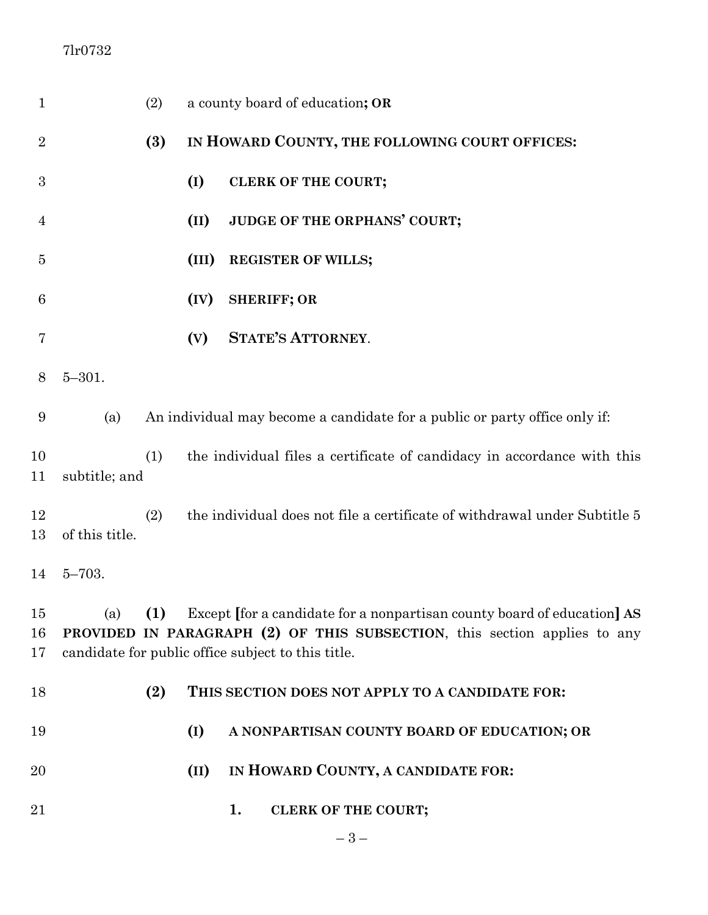| $\mathbf{1}$   |                | (2) |       | a county board of education; OR                                                                                                                                                                                           |
|----------------|----------------|-----|-------|---------------------------------------------------------------------------------------------------------------------------------------------------------------------------------------------------------------------------|
| $\overline{2}$ |                | (3) |       | IN HOWARD COUNTY, THE FOLLOWING COURT OFFICES:                                                                                                                                                                            |
| 3              |                |     | (I)   | <b>CLERK OF THE COURT;</b>                                                                                                                                                                                                |
| $\overline{4}$ |                |     | (II)  | JUDGE OF THE ORPHANS' COURT;                                                                                                                                                                                              |
| 5              |                |     | (III) | <b>REGISTER OF WILLS;</b>                                                                                                                                                                                                 |
| 6              |                |     | (IV)  | <b>SHERIFF; OR</b>                                                                                                                                                                                                        |
| 7              |                |     | (V)   | <b>STATE'S ATTORNEY.</b>                                                                                                                                                                                                  |
| 8              | $5 - 301.$     |     |       |                                                                                                                                                                                                                           |
| 9              | (a)            |     |       | An individual may become a candidate for a public or party office only if:                                                                                                                                                |
| 10<br>11       | subtitle; and  | (1) |       | the individual files a certificate of candidacy in accordance with this                                                                                                                                                   |
| 12<br>13       | of this title. | (2) |       | the individual does not file a certificate of withdrawal under Subtitle 5                                                                                                                                                 |
| 14             | $5 - 703.$     |     |       |                                                                                                                                                                                                                           |
| 15<br>16<br>17 |                |     |       | (a) (1) Except for a candidate for a nonpartisan county board of education $\text{AS}$<br>PROVIDED IN PARAGRAPH (2) OF THIS SUBSECTION, this section applies to any<br>candidate for public office subject to this title. |
| 18             |                | (2) |       | THIS SECTION DOES NOT APPLY TO A CANDIDATE FOR:                                                                                                                                                                           |
| 19             |                |     | (I)   | A NONPARTISAN COUNTY BOARD OF EDUCATION; OR                                                                                                                                                                               |
| 20             |                |     | (II)  | IN HOWARD COUNTY, A CANDIDATE FOR:                                                                                                                                                                                        |
| 21             |                |     |       | 1.<br><b>CLERK OF THE COURT;</b>                                                                                                                                                                                          |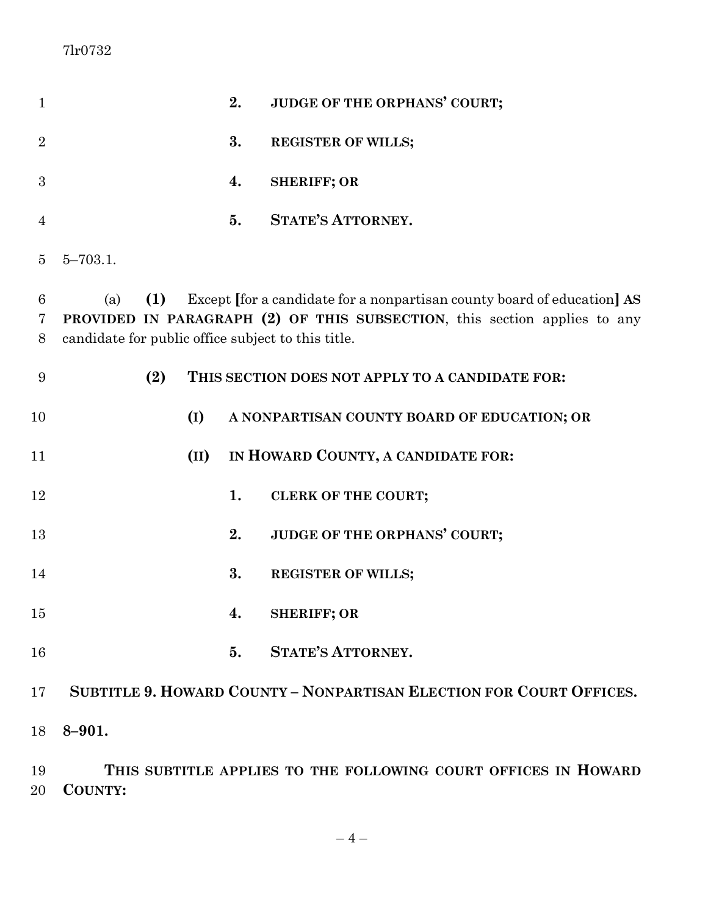| $\mathbf{1}$   |                                                                  |      | 2. | JUDGE OF THE ORPHANS' COURT;                                                                                                                       |
|----------------|------------------------------------------------------------------|------|----|----------------------------------------------------------------------------------------------------------------------------------------------------|
| $\overline{2}$ |                                                                  |      | 3. | <b>REGISTER OF WILLS;</b>                                                                                                                          |
| 3              |                                                                  |      | 4. | <b>SHERIFF; OR</b>                                                                                                                                 |
| $\overline{4}$ |                                                                  |      | 5. | <b>STATE'S ATTORNEY.</b>                                                                                                                           |
| $\overline{5}$ | $5 - 703.1$ .                                                    |      |    |                                                                                                                                                    |
| 6<br>7<br>8    | (1)<br>(a)<br>candidate for public office subject to this title. |      |    | Except for a candidate for a nonpartisan county board of education AS<br>PROVIDED IN PARAGRAPH (2) OF THIS SUBSECTION, this section applies to any |
| 9              | (2)                                                              |      |    | THIS SECTION DOES NOT APPLY TO A CANDIDATE FOR:                                                                                                    |
| 10             |                                                                  | (I)  |    | A NONPARTISAN COUNTY BOARD OF EDUCATION; OR                                                                                                        |
| 11             |                                                                  | (II) |    | IN HOWARD COUNTY, A CANDIDATE FOR:                                                                                                                 |
| 12             |                                                                  |      | 1. | <b>CLERK OF THE COURT;</b>                                                                                                                         |
| 13             |                                                                  |      | 2. | JUDGE OF THE ORPHANS' COURT;                                                                                                                       |
| 14             |                                                                  |      | 3. | <b>REGISTER OF WILLS;</b>                                                                                                                          |
| 15             |                                                                  |      | 4. | <b>SHERIFF; OR</b>                                                                                                                                 |
| 16             |                                                                  |      | 5. | <b>STATE'S ATTORNEY.</b>                                                                                                                           |
| 17             |                                                                  |      |    | SUBTITLE 9. HOWARD COUNTY - NONPARTISAN ELECTION FOR COURT OFFICES.                                                                                |
| 18             | $8 - 901.$                                                       |      |    |                                                                                                                                                    |
| 19             |                                                                  |      |    | THIS SUBTITLE APPLIES TO THE FOLLOWING COURT OFFICES IN HOWARD                                                                                     |

**COUNTY:**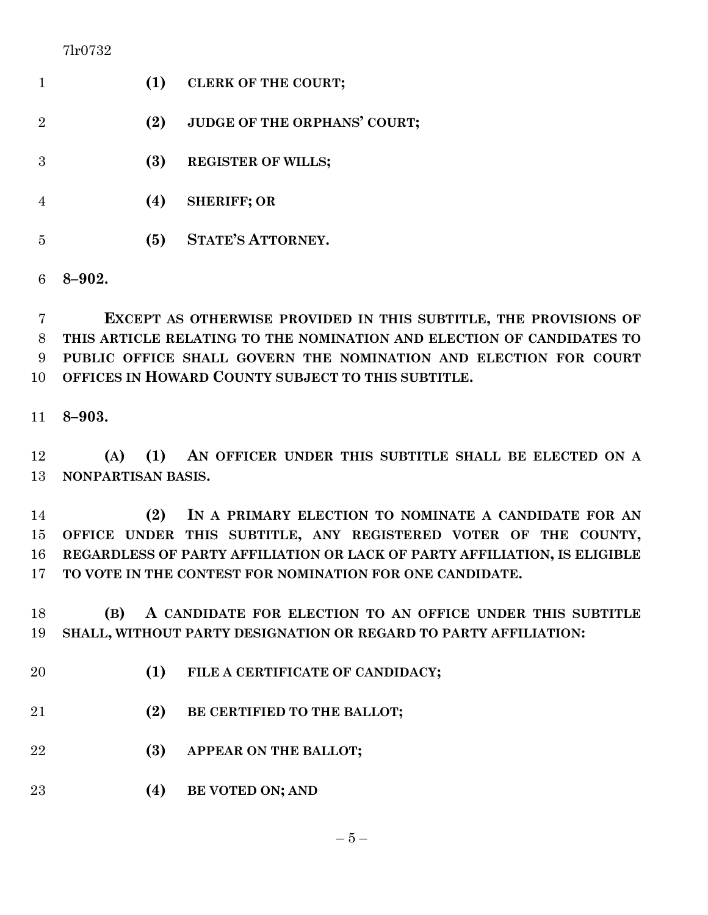| 7lr0732 |  |  |  |
|---------|--|--|--|
|---------|--|--|--|

|                             | (1) | <b>CLERK OF THE COURT;</b>          |
|-----------------------------|-----|-------------------------------------|
| $\mathcal{D}_{\mathcal{L}}$ | (2) | <b>JUDGE OF THE ORPHANS' COURT;</b> |
| 3                           | (3) | <b>REGISTER OF WILLS;</b>           |
|                             | (4) | <b>SHERIFF; OR</b>                  |
| 5                           | (5) | <b>STATE'S ATTORNEY.</b>            |
|                             |     |                                     |

**8–902.**

 **EXCEPT AS OTHERWISE PROVIDED IN THIS SUBTITLE, THE PROVISIONS OF THIS ARTICLE RELATING TO THE NOMINATION AND ELECTION OF CANDIDATES TO PUBLIC OFFICE SHALL GOVERN THE NOMINATION AND ELECTION FOR COURT OFFICES IN HOWARD COUNTY SUBJECT TO THIS SUBTITLE.**

**8–903.**

 **(A) (1) AN OFFICER UNDER THIS SUBTITLE SHALL BE ELECTED ON A NONPARTISAN BASIS.**

 **(2) IN A PRIMARY ELECTION TO NOMINATE A CANDIDATE FOR AN OFFICE UNDER THIS SUBTITLE, ANY REGISTERED VOTER OF THE COUNTY, REGARDLESS OF PARTY AFFILIATION OR LACK OF PARTY AFFILIATION, IS ELIGIBLE TO VOTE IN THE CONTEST FOR NOMINATION FOR ONE CANDIDATE.**

 **(B) A CANDIDATE FOR ELECTION TO AN OFFICE UNDER THIS SUBTITLE SHALL, WITHOUT PARTY DESIGNATION OR REGARD TO PARTY AFFILIATION:**

- **(1) FILE A CERTIFICATE OF CANDIDACY;**
- **(2) BE CERTIFIED TO THE BALLOT;**
- **(3) APPEAR ON THE BALLOT;**

**(4) BE VOTED ON; AND**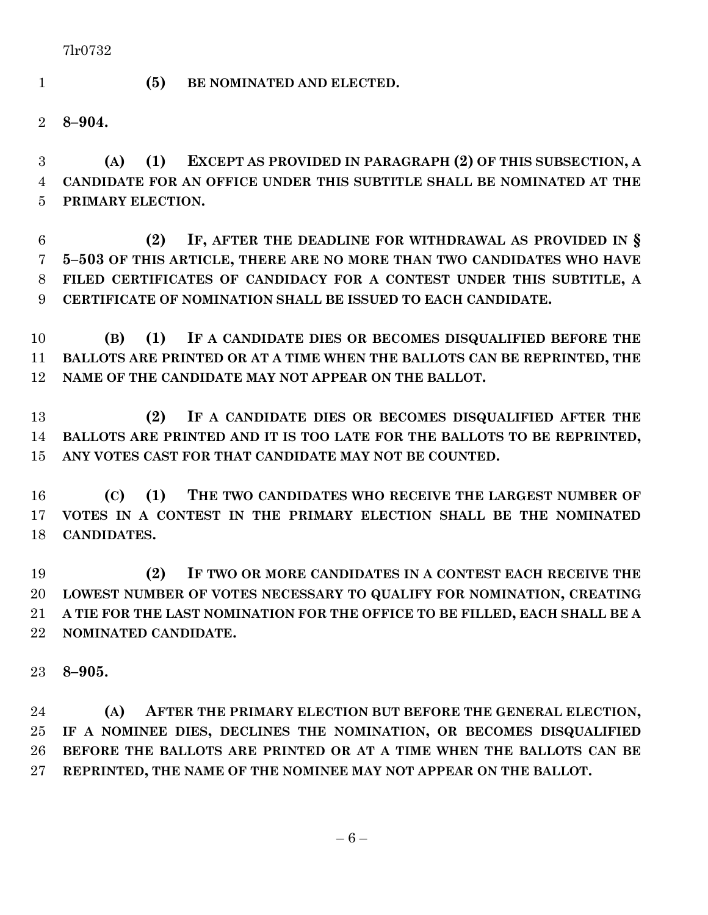- 
- **(5) BE NOMINATED AND ELECTED.**

**8–904.**

 **(A) (1) EXCEPT AS PROVIDED IN PARAGRAPH (2) OF THIS SUBSECTION, A CANDIDATE FOR AN OFFICE UNDER THIS SUBTITLE SHALL BE NOMINATED AT THE PRIMARY ELECTION.**

 **(2) IF, AFTER THE DEADLINE FOR WITHDRAWAL AS PROVIDED IN § 5–503 OF THIS ARTICLE, THERE ARE NO MORE THAN TWO CANDIDATES WHO HAVE FILED CERTIFICATES OF CANDIDACY FOR A CONTEST UNDER THIS SUBTITLE, A CERTIFICATE OF NOMINATION SHALL BE ISSUED TO EACH CANDIDATE.**

 **(B) (1) IF A CANDIDATE DIES OR BECOMES DISQUALIFIED BEFORE THE BALLOTS ARE PRINTED OR AT A TIME WHEN THE BALLOTS CAN BE REPRINTED, THE NAME OF THE CANDIDATE MAY NOT APPEAR ON THE BALLOT.**

 **(2) IF A CANDIDATE DIES OR BECOMES DISQUALIFIED AFTER THE BALLOTS ARE PRINTED AND IT IS TOO LATE FOR THE BALLOTS TO BE REPRINTED, ANY VOTES CAST FOR THAT CANDIDATE MAY NOT BE COUNTED.**

 **(C) (1) THE TWO CANDIDATES WHO RECEIVE THE LARGEST NUMBER OF VOTES IN A CONTEST IN THE PRIMARY ELECTION SHALL BE THE NOMINATED CANDIDATES.**

 **(2) IF TWO OR MORE CANDIDATES IN A CONTEST EACH RECEIVE THE LOWEST NUMBER OF VOTES NECESSARY TO QUALIFY FOR NOMINATION, CREATING A TIE FOR THE LAST NOMINATION FOR THE OFFICE TO BE FILLED, EACH SHALL BE A NOMINATED CANDIDATE.**

**8–905.**

 **(A) AFTER THE PRIMARY ELECTION BUT BEFORE THE GENERAL ELECTION, IF A NOMINEE DIES, DECLINES THE NOMINATION, OR BECOMES DISQUALIFIED BEFORE THE BALLOTS ARE PRINTED OR AT A TIME WHEN THE BALLOTS CAN BE REPRINTED, THE NAME OF THE NOMINEE MAY NOT APPEAR ON THE BALLOT.**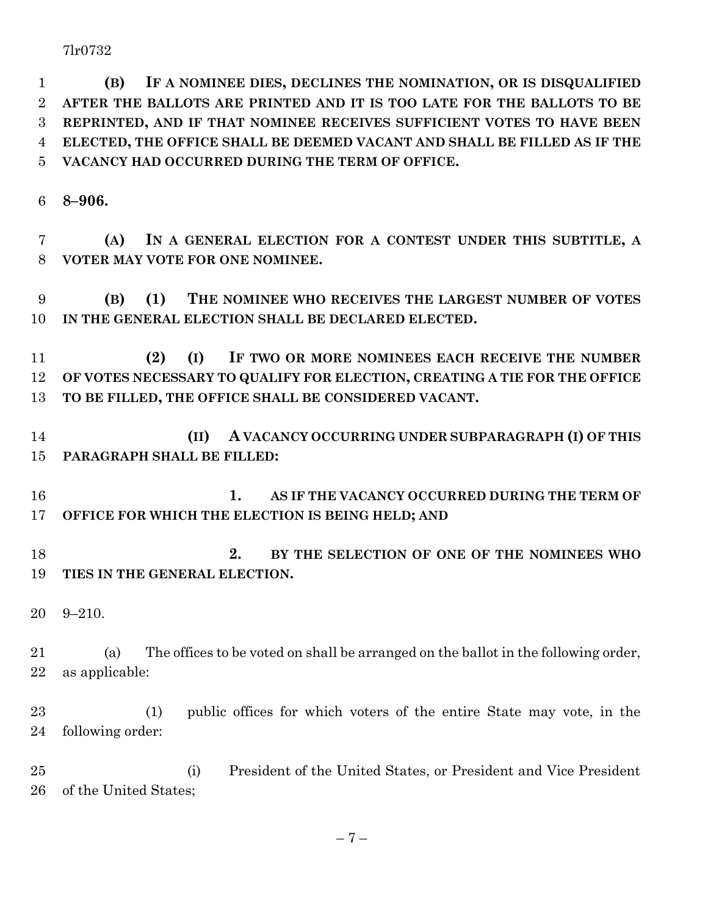**(B) IF A NOMINEE DIES, DECLINES THE NOMINATION, OR IS DISQUALIFIED AFTER THE BALLOTS ARE PRINTED AND IT IS TOO LATE FOR THE BALLOTS TO BE REPRINTED, AND IF THAT NOMINEE RECEIVES SUFFICIENT VOTES TO HAVE BEEN ELECTED, THE OFFICE SHALL BE DEEMED VACANT AND SHALL BE FILLED AS IF THE VACANCY HAD OCCURRED DURING THE TERM OF OFFICE.**

**8–906.**

 **(A) IN A GENERAL ELECTION FOR A CONTEST UNDER THIS SUBTITLE, A VOTER MAY VOTE FOR ONE NOMINEE.**

 **(B) (1) THE NOMINEE WHO RECEIVES THE LARGEST NUMBER OF VOTES IN THE GENERAL ELECTION SHALL BE DECLARED ELECTED.**

 **(2) (I) IF TWO OR MORE NOMINEES EACH RECEIVE THE NUMBER OF VOTES NECESSARY TO QUALIFY FOR ELECTION, CREATING A TIE FOR THE OFFICE TO BE FILLED, THE OFFICE SHALL BE CONSIDERED VACANT.**

 **(II) A VACANCY OCCURRING UNDER SUBPARAGRAPH (I) OF THIS PARAGRAPH SHALL BE FILLED:**

 **1. AS IF THE VACANCY OCCURRED DURING THE TERM OF OFFICE FOR WHICH THE ELECTION IS BEING HELD; AND**

 **2. BY THE SELECTION OF ONE OF THE NOMINEES WHO TIES IN THE GENERAL ELECTION.**

9–210.

 (a) The offices to be voted on shall be arranged on the ballot in the following order, as applicable:

 (1) public offices for which voters of the entire State may vote, in the following order:

 (i) President of the United States, or President and Vice President of the United States;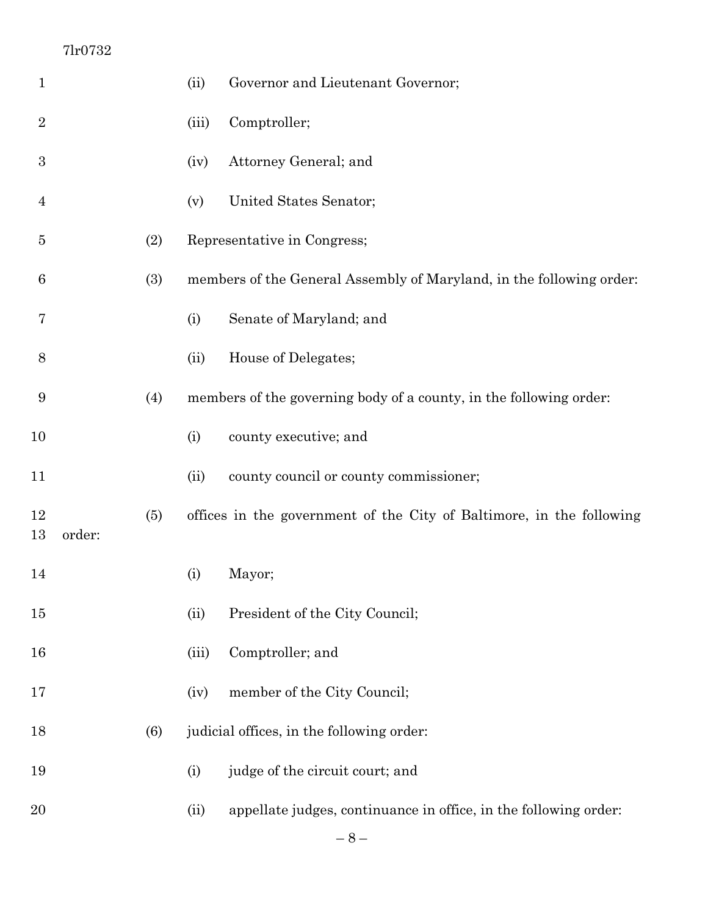| $\mathbf 1$      |        |     | (ii)  | Governor and Lieutenant Governor;                                    |
|------------------|--------|-----|-------|----------------------------------------------------------------------|
| $\overline{2}$   |        |     | (iii) | Comptroller;                                                         |
| $\boldsymbol{3}$ |        |     | (iv)  | Attorney General; and                                                |
| 4                |        |     | (v)   | United States Senator;                                               |
| 5                |        | (2) |       | Representative in Congress;                                          |
| 6                |        | (3) |       | members of the General Assembly of Maryland, in the following order: |
| 7                |        |     | (i)   | Senate of Maryland; and                                              |
| 8                |        |     | (ii)  | House of Delegates;                                                  |
| $\boldsymbol{9}$ |        | (4) |       | members of the governing body of a county, in the following order:   |
| 10               |        |     | (i)   | county executive; and                                                |
| 11               |        |     | (ii)  | county council or county commissioner;                               |
| 12<br>13         | order: | (5) |       | offices in the government of the City of Baltimore, in the following |
| 14               |        |     | (i)   | Mayor;                                                               |
| 15               |        |     | (ii)  | President of the City Council;                                       |
| 16               |        |     | (iii) | Comptroller; and                                                     |
| 17               |        |     | (iv)  | member of the City Council;                                          |
| 18               |        | (6) |       | judicial offices, in the following order:                            |
| 19               |        |     | (i)   | judge of the circuit court; and                                      |
| 20               |        |     | (ii)  | appellate judges, continuance in office, in the following order:     |
|                  |        |     |       |                                                                      |